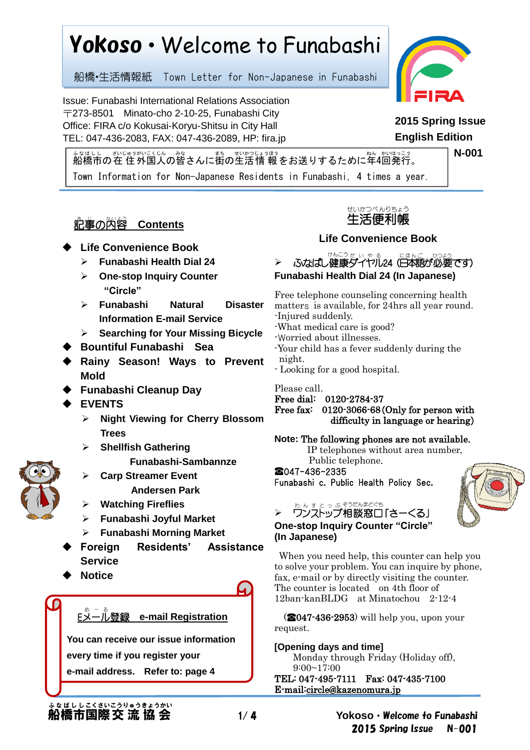# Yokoso・Welcome to Funabashi

船橋・生活情報紙 Town Letter for Non-Japanese in Funabashi

Issue: Funabashi International Relations Association  $\pm$ 273-8501 Minato-cho 2-10-25. Funabashi City Office: FIRA c/o Kokusai-Koryu-Shitsu in City Hall TEL: 047-436-2083, FAX: 047-436-2089, HP: fira.jp



**2015 Spring Issue English Edition**

**N-001** 船橋市 ふなばしし の在 住 ざいじゅう 外国人 がいこくじん の皆 みな さんに街 まち の生活 せいかつ 情 報 じょうほう をお送りするために年 ねん 4回 かい 発行 はっこう 。 Town Information for Non-Japanese Residents in Funabashi, 4 times a year.

# <u> 記事の閃容</u> Contents

- **Life Convenience Book**
	- **Funabashi Health Dial 24**
	- **One-stop Inquiry Counter "Circle"**
	- **Funabashi Natural Disaster Information E-mail Service**
	- **Searching for Your Missing Bicycle**
- **Bountiful Funabashi Sea**
- **Rainy Season! Ways to Prevent Mold**
- **Funabashi Cleanup Day**
- **EVENTS**

Ñ  $\hat{I}$ l.  $\leq$ 

ŕ N

 $\overline{\phantom{0}}$ 

- **Night Viewing for Cherry Blossom Trees**
- **Shellfish Gathering**
	- **Funabashi-Sambannze**
- **Carp Streamer Event Andersen Park**
- **Watching Fireflies**
- **Funabashi Joyful Market**
- **Funabashi Morning Market**
- **Foreign Residents' Assistance Service**
- **Notice**



**You can receive our issue information** 

**every time if you register your** 

**e-mail address. Refer to: page 4**



## **Life Convenience Book**

> ふなばし健康ダイヤル24 (日本語が必要です) **Funabashi Health Dial 24 (In Japanese)**

Free telephone counseling concerning health matters is available, for 24hrs all year round. -Injured suddenly.

- -What medical care is good?
- -Worried about illnesses.
- -Your child has a fever suddenly during the night.
- Looking for a good hospital.

Please call.

Free dial: 0120-2784-37

Free fax: 0120-3066-68 (Only for person with difficulty in language or hearing)

**Note:** The following phones are not available. IP telephones without area number, Public telephone.

☎047-436-2335

Funabashi c. Public Health Policy Sec.





**One-stop Inquiry Counter "Circle" (In Japanese)**

When you need help, this counter can help you to solve your problem. You can inquire by phone, fax, e-mail or by directly visiting the counter. The counter is located on 4th floor of 12ban-kanBLDG at Minatochou 2-12-4

(☎047-436-2953) will help you, upon your request.

**[Opening days and time]** Monday through Friday (Holiday off), 9:00~17:00

TEL: 047-495-7111 Fax: 047-435-7100 E-mail[:circle@kazenomura.jp](mailto:circle@kazenomura.jp)

 1/ 4 **Yokoso**・Welcome to Funabashi 2015 Spring Issue N-001

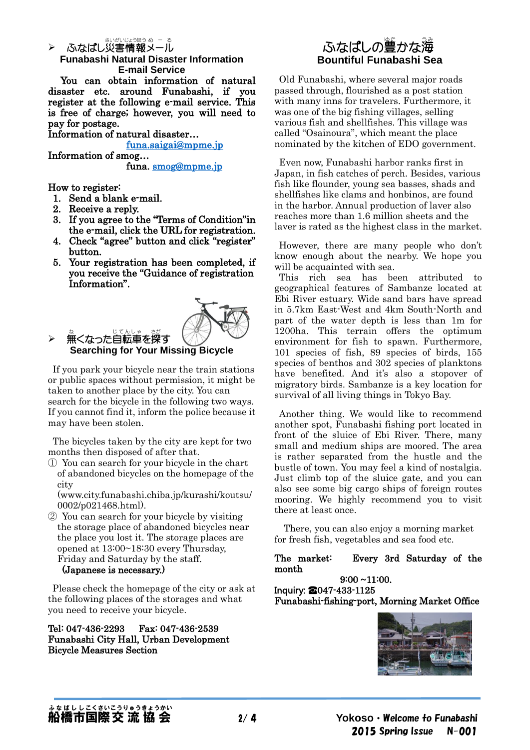#### ≻ ふなばし災害情報メール さいがい じょうほう め ー る

**Funabashi Natural Disaster Information E-mail Service**

 You can obtain information of natural disaster etc. around Funabashi, if you register at the following e-mail service. This is free of charge; however, you will need to pay for postage.

Information of natural disaster…

[funa.saigai@mpme.jp](mailto:funa.saigai@mpme.jp) 

Information of smog…

funa. [smog@mpme.jp](mailto:smog@mpme.jp) 

## How to register:

- 1. Send a blank e-mail.
- 2. Receive a reply.
- 3. If you agree to the "Terms of Condition"in the e-mail, click the URL for registration.
- 4. Check "agree" button and click "register" button.
- 5. Your registration has been completed, if you receive the "Guidance of registration Information".



If you park your bicycle near the train stations or public spaces without permission, it might be taken to another place by the city. You can search for the bicycle in the following two ways. If you cannot find it, inform the police because it may have been stolen.

The bicycles taken by the city are kept for two months then disposed of after that.

① You can search for your bicycle in the chart of abandoned bicycles on the homepage of the city

(www.city.funabashi.chiba.jp/kurashi/koutsu/ 0002/p021468.html).

② You can search for your bicycle by visiting the storage place of abandoned bicycles near the place you lost it. The storage places are opened at 13:00~18:30 every Thursday, Friday and Saturday by the staff. (Japanese is necessary.)

Please check the homepage of the city or ask at the following places of the storages and what you need to receive your bicycle.

Tel: 047-436-2293 Fax: 047-436-2539 Funabashi City Hall, Urban Development Bicycle Measures Section

#### ふなばしの豊 かな海 うみ i. **Bountiful Funabashi Sea**

Old Funabashi, where several major roads passed through, flourished as a post station with many inns for travelers. Furthermore, it was one of the big fishing villages, selling various fish and shellfishes. This village was called "Osainoura", which meant the place nominated by the kitchen of EDO government.

Even now, Funabashi harbor ranks first in Japan, in fish catches of perch. Besides, various fish like flounder, young sea basses, shads and shellfishes like clams and honbinos, are found in the harbor. Annual production of laver also reaches more than 1.6 million sheets and the laver is rated as the highest class in the market.

However, there are many people who don't know enough about the nearby. We hope you will be acquainted with sea.

This rich sea has been attributed to geographical features of Sambanze located at Ebi River estuary. Wide sand bars have spread in 5.7km East-West and 4km South-North and part of the water depth is less than 1m for 1200ha. This terrain offers the optimum environment for fish to spawn. Furthermore, 101 species of fish, 89 species of birds, 155 species of benthos and 302 species of planktons have benefited. And it's also a stopover of migratory birds. Sambanze is a key location for survival of all living things in Tokyo Bay.

Another thing. We would like to recommend another spot, Funabashi fishing port located in front of the sluice of Ebi River. There, many small and medium ships are moored. The area is rather separated from the hustle and the bustle of town. You may feel a kind of nostalgia. Just climb top of the sluice gate, and you can also see some big cargo ships of foreign routes mooring. We highly recommend you to visit there at least once.

There, you can also enjoy a morning market for fresh fish, vegetables and sea food etc.

## The market: Every 3rd Saturday of the month

9:00 ~11:00. Inquiry: ☎047-433-1125 Funabashi-fishing-port, Morning Market Office

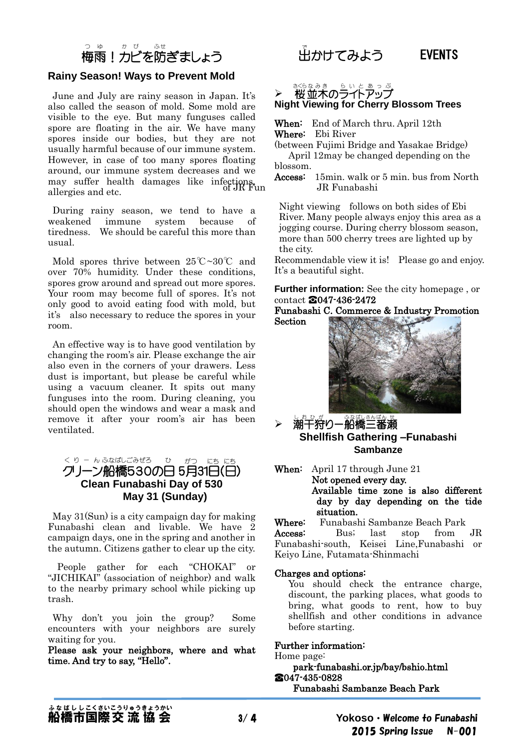

## **Rainy Season! Ways to Prevent Mold**

June and July are rainy season in Japan. It's also called the season of mold. Some mold are visible to the eye. But many funguses called spore are floating in the air. We have many spores inside our bodies, but they are not usually harmful because of our immune system. However, in case of too many spores floating around, our immune system decreases and we may suffer health damages like infections, allergies and etc.

During rainy season, we tend to have a weakened immune system because of tiredness. We should be careful this more than usual.

Mold spores thrive between 25℃~30℃ and over 70% humidity. Under these conditions, spores grow around and spread out more spores. Your room may become full of spores. It's not only good to avoid eating food with mold, but it's also necessary to reduce the spores in your room.

An effective way is to have good ventilation by changing the room's air. Please exchange the air also even in the corners of your drawers. Less dust is important, but please be careful while using a vacuum cleaner. It spits out many funguses into the room. During cleaning, you should open the windows and wear a mask and remove it after your room's air has been ventilated.

## クリーン船橋530の日 5月31日(日) く り - ん ふなばしごみぜろ ひ がつ にち にち **Clean Funabashi Day of 530 May 31 (Sunday)**

May 31(Sun) is a city campaign day for making Funabashi clean and livable. We have 2 campaign days, one in the spring and another in the autumn. Citizens gather to clear up the city.

People gather for each "CHOKAI" or "JICHIKAI" (association of neighbor) and walk to the nearby primary school while picking up trash.

Why don't you join the group? Some encounters with your neighbors are surely waiting for you.

Please ask your neighbors, where and what time. And try to say, "Hello".

出 で かけてみよう EVENTS

#### 桜 さくら 並木 な み き のライトアップ ら い と あ っ ぷ i. **Night Viewing for Cherry Blossom Trees**

When: End of March thru. April 12th Where: Ebi River

(between Fujimi Bridge and Yasakae Bridge) April 12may be changed depending on the blossom.

Access: 15min. walk or 5 min. bus from North JR Funabashi

Night viewing follows on both sides of Ebi River. Many people always enjoy this area as a jogging course. During cherry blossom season, more than 500 cherry trees are lighted up by the city.

Recommendable view it is! Please go and enjoy. It's a beautiful sight.

**Further information:** See the city homepage , or contact ☎047-436-2472

Funabashi C. Commerce & Industry Promotion Section



> 潮干狩り一船橋三番瀬 l. **Shellfish Gathering –Funabashi Sambanze**

When: April 17 through June 21

Not opened every day. Available time zone is also different day by day depending on the tide situation.

Where: Funabashi Sambanze Beach Park Access: Bus; last stop from JR Funabashi-south, Keisei Line,Funabashi or Keiyo Line, Futamata-Shinmachi

## Charges and options:

You should check the entrance charge, discount, the parking places, what goods to bring, what goods to rent, how to buy shellfish and other conditions in advance before starting.

Further information:

Home page:

park-funabashi.or.jp/bay/bshio.html ☎047-435-0828 Funabashi Sambanze Beach Park